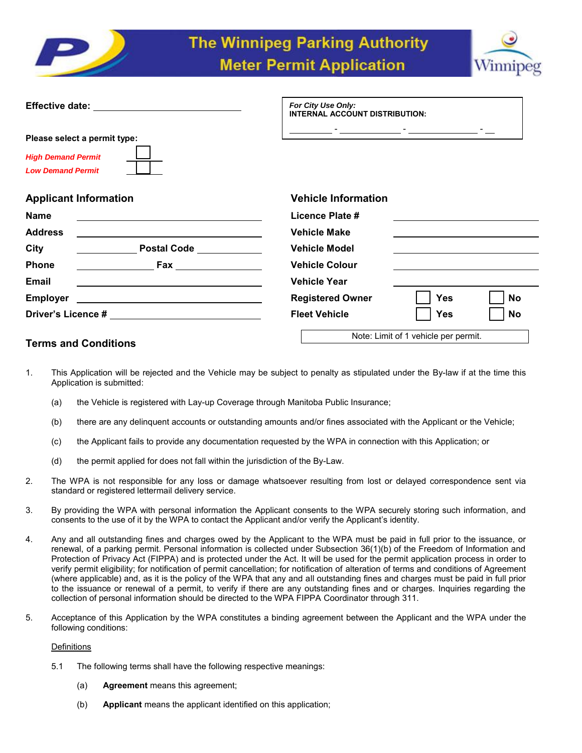



|                                                                                                                                                                                                                                                                              | For City Use Only:<br>INTERNAL ACCOUNT DISTRIBUTION: |  |  |
|------------------------------------------------------------------------------------------------------------------------------------------------------------------------------------------------------------------------------------------------------------------------------|------------------------------------------------------|--|--|
| Please select a permit type:                                                                                                                                                                                                                                                 |                                                      |  |  |
| <b>High Demand Permit</b><br><b>Low Demand Permit</b>                                                                                                                                                                                                                        |                                                      |  |  |
| <b>Applicant Information</b>                                                                                                                                                                                                                                                 | <b>Vehicle Information</b>                           |  |  |
| <b>Name</b>                                                                                                                                                                                                                                                                  | Licence Plate #                                      |  |  |
| <b>Address</b><br><u> 1989 - Johann Stein, fransk politiker (d. 1989)</u>                                                                                                                                                                                                    | <b>Vehicle Make</b>                                  |  |  |
| Postal Code New York<br>City                                                                                                                                                                                                                                                 | <b>Vehicle Model</b>                                 |  |  |
| Phone<br><u>Example 2001 Fax</u>                                                                                                                                                                                                                                             | <b>Vehicle Colour</b>                                |  |  |
| Email                                                                                                                                                                                                                                                                        | <b>Vehicle Year</b>                                  |  |  |
| <b>Employer</b><br><u> 1989 - Johann Barn, fransk politik amerikansk politik (d. 1989)</u>                                                                                                                                                                                   | <b>Yes</b><br><b>Registered Owner</b><br><b>No</b>   |  |  |
|                                                                                                                                                                                                                                                                              | <b>Fleet Vehicle</b><br><b>Yes</b><br><b>No</b>      |  |  |
| $\tau$ . The set of $\sim$ 1.0 $\sim$ 1.1 $\sim$ 1.1 $\sim$ 1.1 $\sim$ 1.1 $\sim$ 1.1 $\sim$ 1.1 $\sim$ 1.1 $\sim$ 1.1 $\sim$ 1.1 $\sim$ 1.1 $\sim$ 1.1 $\sim$ 1.1 $\sim$ 1.1 $\sim$ 1.1 $\sim$ 1.1 $\sim$ 1.1 $\sim$ 1.1 $\sim$ 1.1 $\sim$ 1.1 $\sim$ 1.1 $\sim$ 1.1 $\sim$ | Note: Limit of 1 vehicle per permit.                 |  |  |

# **Terms and Conditions**

- 1. This Application will be rejected and the Vehicle may be subject to penalty as stipulated under the By-law if at the time this Application is submitted:
	- (a) the Vehicle is registered with Lay-up Coverage through Manitoba Public Insurance;
	- (b) there are any delinquent accounts or outstanding amounts and/or fines associated with the Applicant or the Vehicle;
	- (c) the Applicant fails to provide any documentation requested by the WPA in connection with this Application; or
	- (d) the permit applied for does not fall within the jurisdiction of the By-Law.
- 2. The WPA is not responsible for any loss or damage whatsoever resulting from lost or delayed correspondence sent via standard or registered lettermail delivery service.
- 3. By providing the WPA with personal information the Applicant consents to the WPA securely storing such information, and consents to the use of it by the WPA to contact the Applicant and/or verify the Applicant's identity.
- 4. Any and all outstanding fines and charges owed by the Applicant to the WPA must be paid in full prior to the issuance, or renewal, of a parking permit. Personal information is collected under Subsection 36(1)(b) of the Freedom of Information and Protection of Privacy Act (FIPPA) and is protected under the Act. It will be used for the permit application process in order to verify permit eligibility; for notification of permit cancellation; for notification of alteration of terms and conditions of Agreement (where applicable) and, as it is the policy of the WPA that any and all outstanding fines and charges must be paid in full prior to the issuance or renewal of a permit, to verify if there are any outstanding fines and or charges. Inquiries regarding the collection of personal information should be directed to the WPA FIPPA Coordinator through 311.
- 5. Acceptance of this Application by the WPA constitutes a binding agreement between the Applicant and the WPA under the following conditions:

# **Definitions**

- 5.1 The following terms shall have the following respective meanings:
	- (a) **Agreement** means this agreement;
	- (b) **Applicant** means the applicant identified on this application;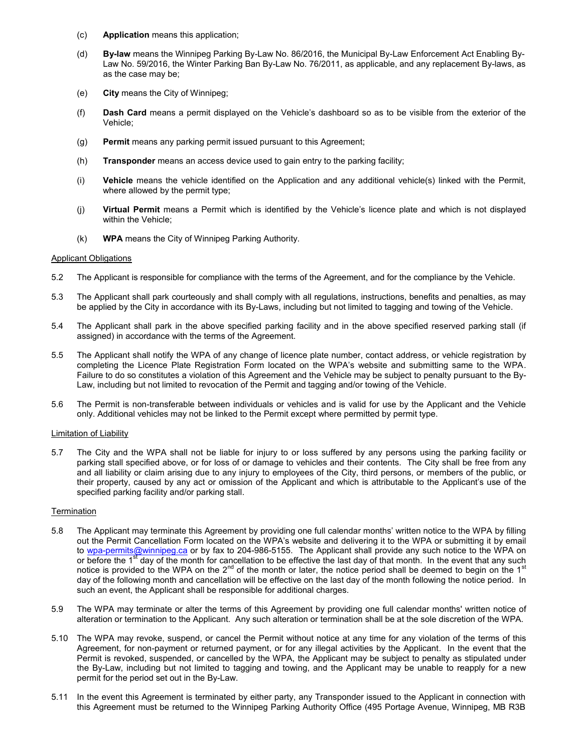- (c) **Application** means this application;
- (d) **By-law** means the Winnipeg Parking By-Law No. 86/2016, the Municipal By-Law Enforcement Act Enabling By-Law No. 59/2016, the Winter Parking Ban By-Law No. 76/2011, as applicable, and any replacement By-laws, as as the case may be;
- (e) **City** means the City of Winnipeg;
- (f) **Dash Card** means a permit displayed on the Vehicle's dashboard so as to be visible from the exterior of the Vehicle;
- (g) **Permit** means any parking permit issued pursuant to this Agreement;
- (h) **Transponder** means an access device used to gain entry to the parking facility;
- (i) **Vehicle** means the vehicle identified on the Application and any additional vehicle(s) linked with the Permit, where allowed by the permit type;
- (j) **Virtual Permit** means a Permit which is identified by the Vehicle's licence plate and which is not displayed within the Vehicle;
- (k) **WPA** means the City of Winnipeg Parking Authority.

### Applicant Obligations

- 5.2 The Applicant is responsible for compliance with the terms of the Agreement, and for the compliance by the Vehicle.
- 5.3 The Applicant shall park courteously and shall comply with all regulations, instructions, benefits and penalties, as may be applied by the City in accordance with its By-Laws, including but not limited to tagging and towing of the Vehicle.
- 5.4 The Applicant shall park in the above specified parking facility and in the above specified reserved parking stall (if assigned) in accordance with the terms of the Agreement.
- 5.5 The Applicant shall notify the WPA of any change of licence plate number, contact address, or vehicle registration by completing the Licence Plate Registration Form located on the WPA's website and submitting same to the WPA. Failure to do so constitutes a violation of this Agreement and the Vehicle may be subject to penalty pursuant to the By-Law, including but not limited to revocation of the Permit and tagging and/or towing of the Vehicle.
- 5.6 The Permit is non-transferable between individuals or vehicles and is valid for use by the Applicant and the Vehicle only. Additional vehicles may not be linked to the Permit except where permitted by permit type.

### Limitation of Liability

5.7 The City and the WPA shall not be liable for injury to or loss suffered by any persons using the parking facility or parking stall specified above, or for loss of or damage to vehicles and their contents. The City shall be free from any and all liability or claim arising due to any injury to employees of the City, third persons, or members of the public, or their property, caused by any act or omission of the Applicant and which is attributable to the Applicant's use of the specified parking facility and/or parking stall.

# **Termination**

- 5.8 The Applicant may terminate this Agreement by providing one full calendar months' written notice to the WPA by filling out the Permit Cancellation Form located on the WPA's website and delivering it to the WPA or submitting it by email to wpa-permits@winnipeg.ca or by fax to 204-986-5155. The Applicant shall provide any such notice to the WPA on or before the 1<sup>st</sup> day of the month for cancellation to be effective the last day of that month. In the event that any such notice is provided to the WPA on the  $2^{nd}$  of the month or later, the notice period shall be deemed to begin on the 1st day of the following month and cancellation will be effective on the last day of the month following the notice period. In such an event, the Applicant shall be responsible for additional charges.
- 5.9 The WPA may terminate or alter the terms of this Agreement by providing one full calendar months' written notice of alteration or termination to the Applicant. Any such alteration or termination shall be at the sole discretion of the WPA.
- 5.10 The WPA may revoke, suspend, or cancel the Permit without notice at any time for any violation of the terms of this Agreement, for non-payment or returned payment, or for any illegal activities by the Applicant. In the event that the Permit is revoked, suspended, or cancelled by the WPA, the Applicant may be subject to penalty as stipulated under the By-Law, including but not limited to tagging and towing, and the Applicant may be unable to reapply for a new permit for the period set out in the By-Law.
- 5.11 In the event this Agreement is terminated by either party, any Transponder issued to the Applicant in connection with this Agreement must be returned to the Winnipeg Parking Authority Office (495 Portage Avenue, Winnipeg, MB R3B